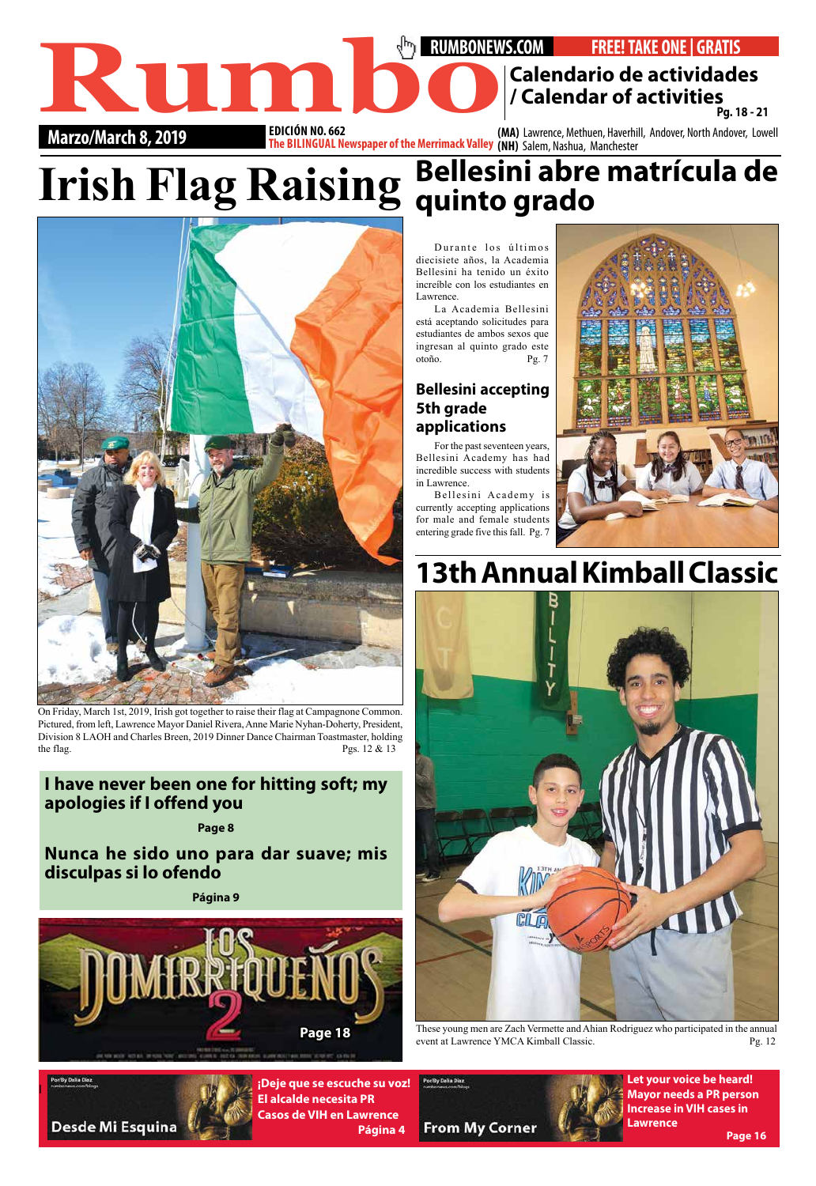### **RUMBONEWS.COM** • **FREE! TAKE ONE | GRATIS EDICIÓN NO. 662 Calendario de actividades**<br> **Calendar of activities**<br> **Calendar of activities**<br> **Pg. 18-21**<br> **Calendar of activities**<br> **Calendar of activities**<br> **Calendar of activities**<br> **Calendar of activities**<br> **Calendar of activities Pg. 18 - 21**



On Friday, March 1st, 2019, Irish got together to raise their flag at Campagnone Common. Pictured, from left, Lawrence Mayor Daniel Rivera, Anne Marie Nyhan-Doherty, President, Division 8 LAOH and Charles Breen, 2019 Dinner Dance Chairman Toastmaster, holding the flag. Pgs.  $12 \& 13$ 

**Marzo/March 8, 2019 1999 <b>FELLINGUAL Newspaper of the Merrimack Valley** (MA) Lawrence, Methuen, Haverhill, Andover, North Andover, Lowell **The BILINGUAL Newspaper of the Merrimack Valley** (NH) Salem, Nashua, Manchester

l

**¡Deje que se escuche su voz! El alcalde necesita PR Casos de VIH en Lawrence Página 4**



**Let your voice be heard! Mayor needs a PR person Increase in VIH cases in Lawrence Page 16**

Durante los últimos diecisiete años, la Academia Bellesini ha tenido un éxito increíble con los estudiantes en Lawrence.

La Academia Bellesini está aceptando solicitudes para estudiantes de ambos sexos que ingresan al quinto grado este otoño. Pg. 7

## **Irish Flag Raising quinto grado Bellesini abre matrícula de**

#### **Bellesini accepting 5th grade applications**

For the past seventeen years, Bellesini Academy has had incredible success with students in Lawrence.



These young men are Zach Vermette and Ahian Rodriguez who participated in the annual event at Lawrence YMCA Kimball Classic. Pg. 12



Bellesini Academy is currently accepting applications for male and female students entering grade five this fall. Pg. 7



# **13th Annual Kimball Classic**



#### **I have never been one for hitting soft; my apologies if I offend you**

#### **Page 8**

**Nunca he sido uno para dar suave; mis disculpas si lo ofendo**

**Página 9**